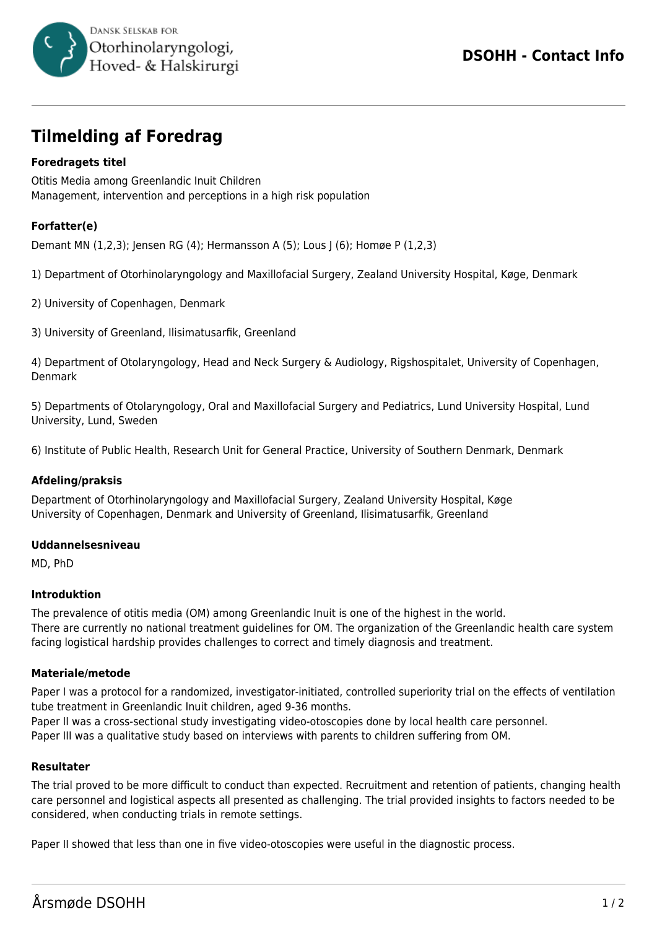

# **Tilmelding af Foredrag**

# **Foredragets titel**

Otitis Media among Greenlandic Inuit Children Management, intervention and perceptions in a high risk population

# **Forfatter(e)**

Demant MN (1,2,3); Jensen RG (4); Hermansson A (5); Lous J (6); Homøe P (1,2,3)

1) Department of Otorhinolaryngology and Maxillofacial Surgery, Zealand University Hospital, Køge, Denmark

2) University of Copenhagen, Denmark

3) University of Greenland, Ilisimatusarfik, Greenland

4) Department of Otolaryngology, Head and Neck Surgery & Audiology, Rigshospitalet, University of Copenhagen, Denmark

5) Departments of Otolaryngology, Oral and Maxillofacial Surgery and Pediatrics, Lund University Hospital, Lund University, Lund, Sweden

6) Institute of Public Health, Research Unit for General Practice, University of Southern Denmark, Denmark

## **Afdeling/praksis**

Department of Otorhinolaryngology and Maxillofacial Surgery, Zealand University Hospital, Køge University of Copenhagen, Denmark and University of Greenland, Ilisimatusarfik, Greenland

## **Uddannelsesniveau**

MD, PhD

## **Introduktion**

The prevalence of otitis media (OM) among Greenlandic Inuit is one of the highest in the world. There are currently no national treatment guidelines for OM. The organization of the Greenlandic health care system facing logistical hardship provides challenges to correct and timely diagnosis and treatment.

## **Materiale/metode**

Paper I was a protocol for a randomized, investigator-initiated, controlled superiority trial on the effects of ventilation tube treatment in Greenlandic Inuit children, aged 9-36 months.

Paper II was a cross-sectional study investigating video-otoscopies done by local health care personnel. Paper III was a qualitative study based on interviews with parents to children suffering from OM.

## **Resultater**

The trial proved to be more difficult to conduct than expected. Recruitment and retention of patients, changing health care personnel and logistical aspects all presented as challenging. The trial provided insights to factors needed to be considered, when conducting trials in remote settings.

Paper II showed that less than one in five video-otoscopies were useful in the diagnostic process.